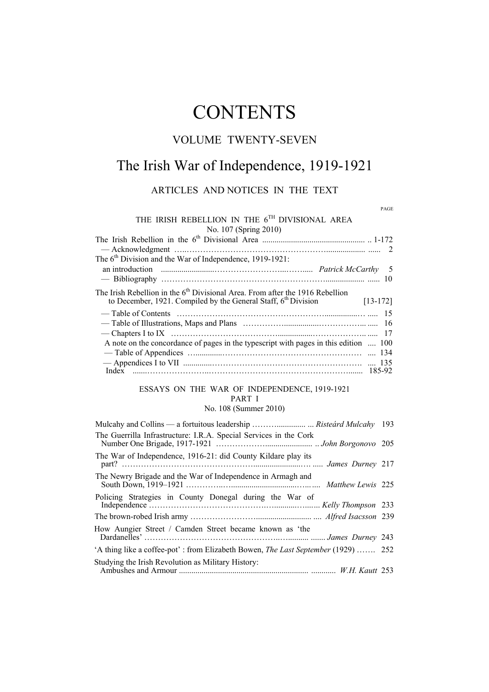# **CONTENTS**

## VOLUME TWENTY-SEVEN

# The Irish War of Independence, 1919-1921

#### ARTICLES AND NOTICES IN THE TEXT

PAGE

| THE IRISH REBELLION IN THE 6TH DIVISIONAL AREA                                                                                                                    |  |
|-------------------------------------------------------------------------------------------------------------------------------------------------------------------|--|
| No. 107 (Spring 2010)                                                                                                                                             |  |
|                                                                                                                                                                   |  |
|                                                                                                                                                                   |  |
| The $6th$ Division and the War of Independence, 1919-1921:                                                                                                        |  |
|                                                                                                                                                                   |  |
|                                                                                                                                                                   |  |
| The Irish Rebellion in the $6th$ Divisional Area. From after the 1916 Rebellion<br>to December, 1921. Compiled by the General Staff, $6th$ Division<br>$[13-172]$ |  |
|                                                                                                                                                                   |  |
|                                                                                                                                                                   |  |
|                                                                                                                                                                   |  |
| A note on the concordance of pages in the typescript with pages in this edition  100                                                                              |  |
|                                                                                                                                                                   |  |
|                                                                                                                                                                   |  |
|                                                                                                                                                                   |  |
|                                                                                                                                                                   |  |

#### ESSAYS ON THE WAR OF INDEPENDENCE, 1919-1921 PART I

#### No. 108 (Summer 2010)

| The Guerrilla Infrastructure: I.R.A. Special Services in the Cork                        |  |
|------------------------------------------------------------------------------------------|--|
| The War of Independence, 1916-21: did County Kildare play its                            |  |
| The Newry Brigade and the War of Independence in Armagh and                              |  |
| Policing Strategies in County Donegal during the War of                                  |  |
|                                                                                          |  |
| How Aungier Street / Camden Street became known as 'the                                  |  |
| 'A thing like a coffee-pot': from Elizabeth Bowen, <i>The Last September</i> (1929)  252 |  |
| Studying the Irish Revolution as Military History:                                       |  |